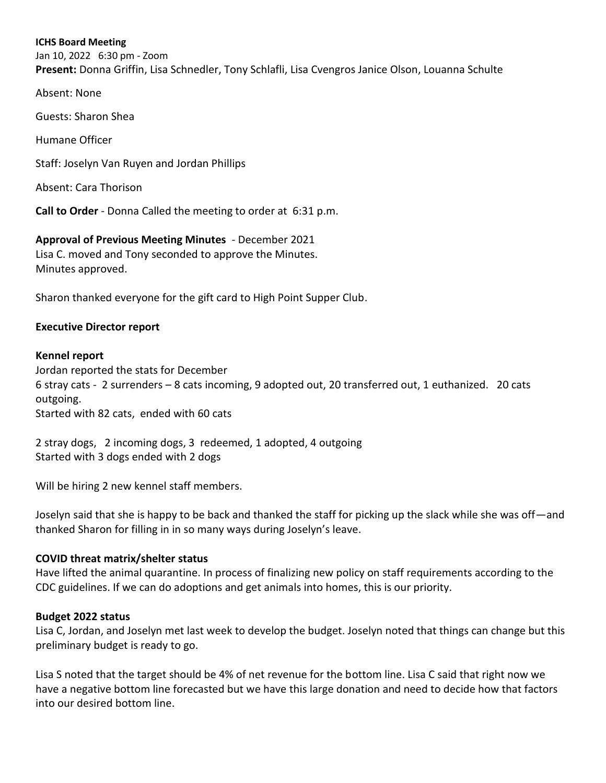#### **ICHS Board Meeting**

Jan 10, 2022 6:30 pm - Zoom **Present:** Donna Griffin, Lisa Schnedler, Tony Schlafli, Lisa Cvengros Janice Olson, Louanna Schulte

Absent: None

Guests: Sharon Shea

Humane Officer

Staff: Joselyn Van Ruyen and Jordan Phillips

Absent: Cara Thorison

**Call to Order** - Donna Called the meeting to order at 6:31 p.m.

**Approval of Previous Meeting Minutes** - December 2021 Lisa C. moved and Tony seconded to approve the Minutes. Minutes approved.

Sharon thanked everyone for the gift card to High Point Supper Club.

#### **Executive Director report**

#### **Kennel report**

Jordan reported the stats for December 6 stray cats - 2 surrenders – 8 cats incoming, 9 adopted out, 20 transferred out, 1 euthanized. 20 cats outgoing. Started with 82 cats, ended with 60 cats

2 stray dogs, 2 incoming dogs, 3 redeemed, 1 adopted, 4 outgoing Started with 3 dogs ended with 2 dogs

Will be hiring 2 new kennel staff members.

Joselyn said that she is happy to be back and thanked the staff for picking up the slack while she was off—and thanked Sharon for filling in in so many ways during Joselyn's leave.

#### **COVID threat matrix/shelter status**

Have lifted the animal quarantine. In process of finalizing new policy on staff requirements according to the CDC guidelines. If we can do adoptions and get animals into homes, this is our priority.

#### **Budget 2022 status**

Lisa C, Jordan, and Joselyn met last week to develop the budget. Joselyn noted that things can change but this preliminary budget is ready to go.

Lisa S noted that the target should be 4% of net revenue for the bottom line. Lisa C said that right now we have a negative bottom line forecasted but we have this large donation and need to decide how that factors into our desired bottom line.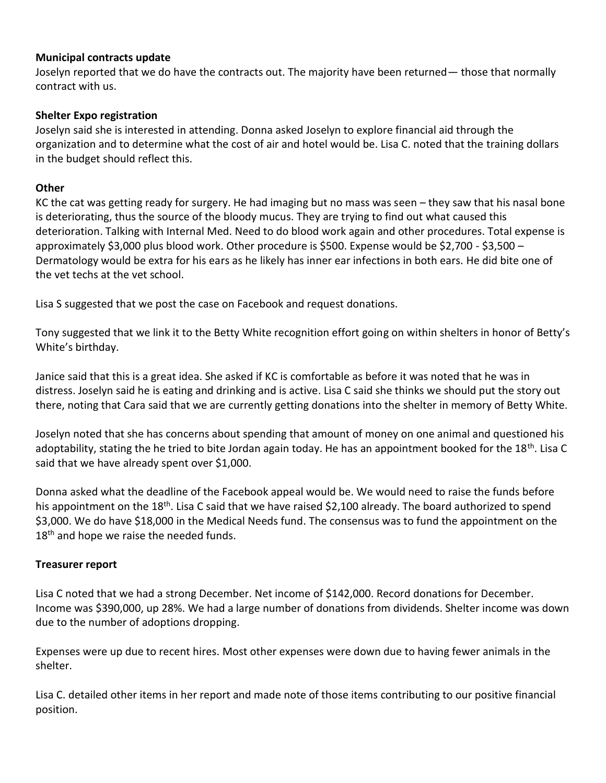#### **Municipal contracts update**

Joselyn reported that we do have the contracts out. The majority have been returned— those that normally contract with us.

## **Shelter Expo registration**

Joselyn said she is interested in attending. Donna asked Joselyn to explore financial aid through the organization and to determine what the cost of air and hotel would be. Lisa C. noted that the training dollars in the budget should reflect this.

## **Other**

KC the cat was getting ready for surgery. He had imaging but no mass was seen – they saw that his nasal bone is deteriorating, thus the source of the bloody mucus. They are trying to find out what caused this deterioration. Talking with Internal Med. Need to do blood work again and other procedures. Total expense is approximately \$3,000 plus blood work. Other procedure is \$500. Expense would be \$2,700 - \$3,500 – Dermatology would be extra for his ears as he likely has inner ear infections in both ears. He did bite one of the vet techs at the vet school.

Lisa S suggested that we post the case on Facebook and request donations.

Tony suggested that we link it to the Betty White recognition effort going on within shelters in honor of Betty's White's birthday.

Janice said that this is a great idea. She asked if KC is comfortable as before it was noted that he was in distress. Joselyn said he is eating and drinking and is active. Lisa C said she thinks we should put the story out there, noting that Cara said that we are currently getting donations into the shelter in memory of Betty White.

Joselyn noted that she has concerns about spending that amount of money on one animal and questioned his adoptability, stating the he tried to bite Jordan again today. He has an appointment booked for the 18<sup>th</sup>. Lisa C said that we have already spent over \$1,000.

Donna asked what the deadline of the Facebook appeal would be. We would need to raise the funds before his appointment on the 18<sup>th</sup>. Lisa C said that we have raised \$2,100 already. The board authorized to spend \$3,000. We do have \$18,000 in the Medical Needs fund. The consensus was to fund the appointment on the  $18<sup>th</sup>$  and hope we raise the needed funds.

#### **Treasurer report**

Lisa C noted that we had a strong December. Net income of \$142,000. Record donations for December. Income was \$390,000, up 28%. We had a large number of donations from dividends. Shelter income was down due to the number of adoptions dropping.

Expenses were up due to recent hires. Most other expenses were down due to having fewer animals in the shelter.

Lisa C. detailed other items in her report and made note of those items contributing to our positive financial position.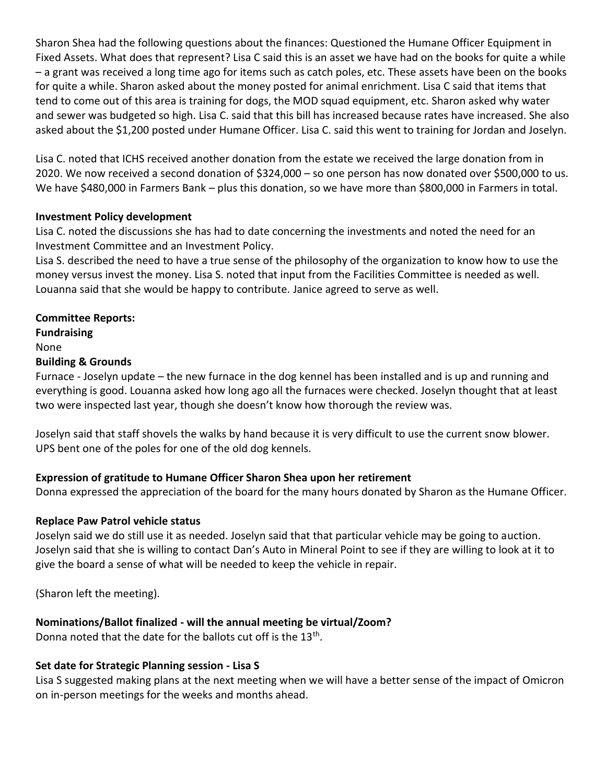Sharon Shea had the following questions about the finances: Questioned the Humane Officer Equipment in Fixed Assets. What does that represent? Lisa C said this is an asset we have had on the books for quite a while – a grant was received a long time ago for items such as catch poles, etc. These assets have been on the books for quite a while. Sharon asked about the money posted for animal enrichment. Lisa C said that items that tend to come out of this area is training for dogs, the MOD squad equipment, etc. Sharon asked why water and sewer was budgeted so high. Lisa C. said that this bill has increased because rates have increased. She also asked about the \$1,200 posted under Humane Officer. Lisa C. said this went to training for Jordan and Joselyn.

Lisa C. noted that ICHS received another donation from the estate we received the large donation from in 2020. We now received a second donation of \$324,000 – so one person has now donated over \$500,000 to us. We have \$480,000 in Farmers Bank – plus this donation, so we have more than \$800,000 in Farmers in total.

## **Investment Policy development**

Lisa C. noted the discussions she has had to date concerning the investments and noted the need for an Investment Committee and an Investment Policy.

Lisa S. described the need to have a true sense of the philosophy of the organization to know how to use the money versus invest the money. Lisa S. noted that input from the Facilities Committee is needed as well. Louanna said that she would be happy to contribute. Janice agreed to serve as well.

# **Committee Reports:**

**Fundraising**  None **Building & Grounds**

Furnace - Joselyn update – the new furnace in the dog kennel has been installed and is up and running and everything is good. Louanna asked how long ago all the furnaces were checked. Joselyn thought that at least two were inspected last year, though she doesn't know how thorough the review was.

Joselyn said that staff shovels the walks by hand because it is very difficult to use the current snow blower. UPS bent one of the poles for one of the old dog kennels.

# **Expression of gratitude to Humane Officer Sharon Shea upon her retirement**

Donna expressed the appreciation of the board for the many hours donated by Sharon as the Humane Officer.

# **Replace Paw Patrol vehicle status**

Joselyn said we do still use it as needed. Joselyn said that that particular vehicle may be going to auction. Joselyn said that she is willing to contact Dan's Auto in Mineral Point to see if they are willing to look at it to give the board a sense of what will be needed to keep the vehicle in repair.

(Sharon left the meeting).

# **Nominations/Ballot finalized - will the annual meeting be virtual/Zoom?**

Donna noted that the date for the ballots cut off is the 13<sup>th</sup>.

# **Set date for Strategic Planning session - Lisa S**

Lisa S suggested making plans at the next meeting when we will have a better sense of the impact of Omicron on in-person meetings for the weeks and months ahead.